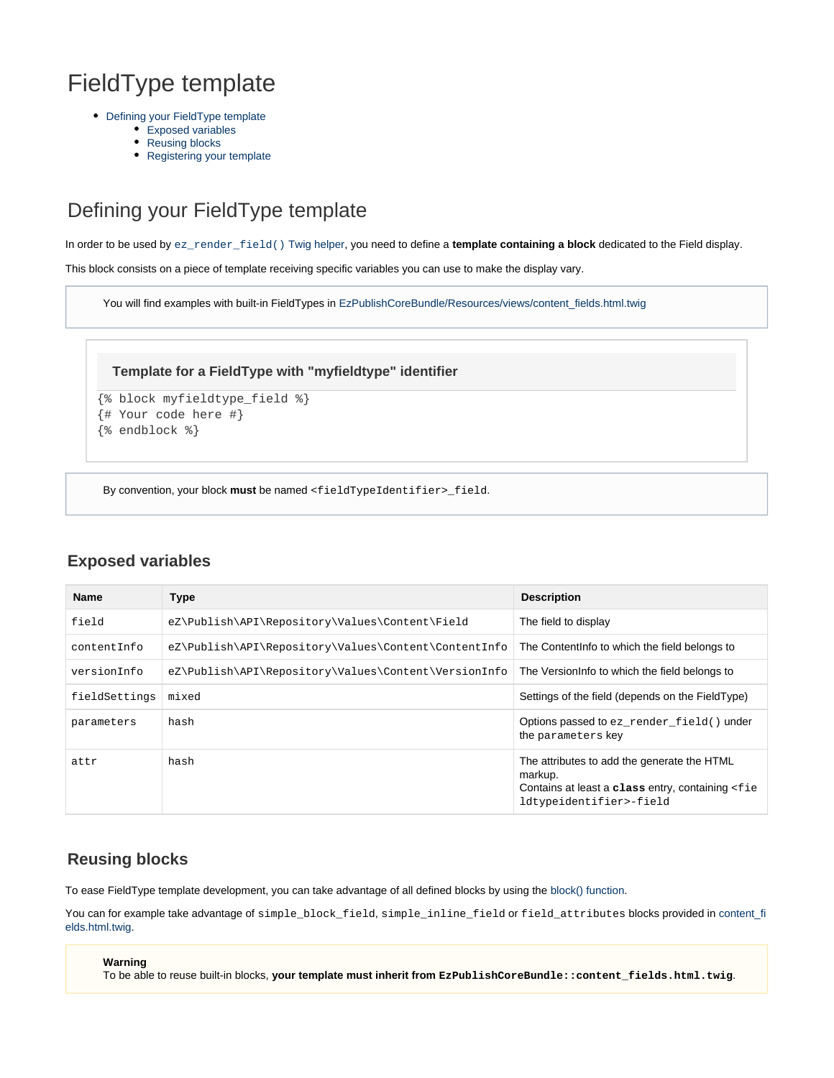# FieldType template

- [Defining your FieldType template](#page-0-0)
	- [Exposed variables](#page-0-1)
	- [Reusing blocks](#page-0-2)
	- [Registering your template](#page-0-3)

## <span id="page-0-0"></span>Defining your FieldType template

In order to be used by [ez\\_render\\_field\(\)](https://doc.ez.no/display/EZP/ez_render_field) Twig helper, you need to define a **template containing a block** dedicated to the Field display.

This block consists on a piece of template receiving specific variables you can use to make the display vary.

You will find examples with built-in FieldTypes in [EzPublishCoreBundle/Resources/views/content\\_fields.html.twig](https://github.com/ezsystems/ezpublish-kernel/blob/master/eZ/Bundle/EzPublishCoreBundle/Resources/views/content_fields.html.twig)

#### **Template for a FieldType with "myfieldtype" identifier**

```
{% block myfieldtype_field %}
{# Your code here #}
```
{% endblock %}

By convention, your block **must** be named <fieldTypeIdentifier>\_field.

#### <span id="page-0-1"></span>**Exposed variables**

| <b>Name</b>   | <b>Type</b>                                          | <b>Description</b>                                                                                                                                |
|---------------|------------------------------------------------------|---------------------------------------------------------------------------------------------------------------------------------------------------|
| field         | eZ\Publish\API\Repository\Values\Content\Field       | The field to display                                                                                                                              |
| contentInfo   | eZ\Publish\API\Repository\Values\Content\ContentInfo | The Contentinfo to which the field belongs to                                                                                                     |
| versionInfo   | eZ\Publish\API\Repository\Values\Content\VersionInfo | The Version nfo to which the field belongs to                                                                                                     |
| fieldSettings | mixed                                                | Settings of the field (depends on the FieldType)                                                                                                  |
| parameters    | hash                                                 | Options passed to ez_render_field() under<br>the parameters key                                                                                   |
| attr          | hash                                                 | The attributes to add the generate the HTML<br>markup.<br>Contains at least a class entry, containing <fie<br>ldtypeidentifier&gt;-field</fie<br> |

#### <span id="page-0-2"></span>**Reusing blocks**

To ease FieldType template development, you can take advantage of all defined blocks by using the [block\(\) function.](http://twig.sensiolabs.org/doc/functions/block.html)

You can for example take advantage of simple\_block\_field, simple\_inline\_field or field\_attributes blocks provided in [content\\_fi](https://github.com/ezsystems/ezpublish-kernel/blob/master/eZ/Bundle/EzPublishCoreBundle/Resources/views/content_fields.html.twig#L413) [elds.html.twig](https://github.com/ezsystems/ezpublish-kernel/blob/master/eZ/Bundle/EzPublishCoreBundle/Resources/views/content_fields.html.twig#L413).

#### **Warning**

<span id="page-0-3"></span>To be able to reuse built-in blocks, **your template must inherit from EzPublishCoreBundle::content\_fields.html.twig**.